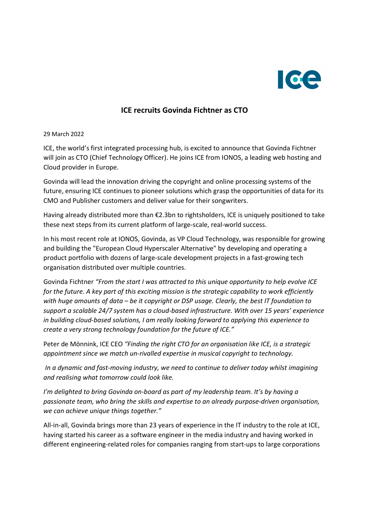

## ICE recruits Govinda Fichtner as CTO

29 March 2022

ICE, the world's first integrated processing hub, is excited to announce that Govinda Fichtner will join as CTO (Chief Technology Officer). He joins ICE from IONOS, a leading web hosting and Cloud provider in Europe.

Govinda will lead the innovation driving the copyright and online processing systems of the future, ensuring ICE continues to pioneer solutions which grasp the opportunities of data for its CMO and Publisher customers and deliver value for their songwriters.

Having already distributed more than €2.3bn to rightsholders, ICE is uniquely positioned to take these next steps from its current platform of large-scale, real-world success.

In his most recent role at IONOS, Govinda, as VP Cloud Technology, was responsible for growing and building the "European Cloud Hyperscaler Alternative" by developing and operating a product portfolio with dozens of large-scale development projects in a fast-growing tech organisation distributed over multiple countries.

Govinda Fichtner "From the start I was attracted to this unique opportunity to help evolve ICE for the future. A key part of this exciting mission is the strategic capability to work efficiently with huge amounts of data – be it copyright or DSP usage. Clearly, the best IT foundation to support a scalable 24/7 system has a cloud-based infrastructure. With over 15 years' experience in building cloud-based solutions, I am really looking forward to applying this experience to create a very strong technology foundation for the future of ICE."

Peter de Mönnink, ICE CEO "Finding the right CTO for an organisation like ICE, is a strategic appointment since we match un-rivalled expertise in musical copyright to technology.

 In a dynamic and fast-moving industry, we need to continue to deliver today whilst imagining and realising what tomorrow could look like.

I'm delighted to bring Govinda on-board as part of my leadership team. It's by having a passionate team, who bring the skills and expertise to an already purpose-driven organisation, we can achieve unique things together."

All-in-all, Govinda brings more than 23 years of experience in the IT industry to the role at ICE, having started his career as a software engineer in the media industry and having worked in different engineering-related roles for companies ranging from start-ups to large corporations